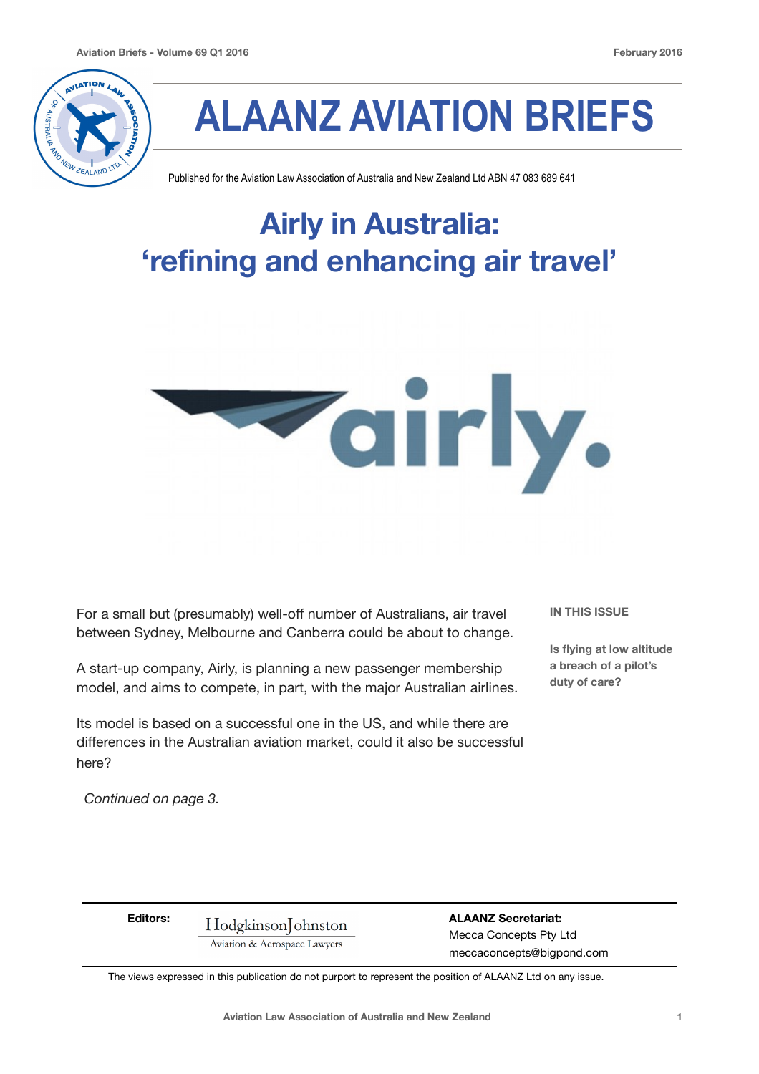

# **ALAANZ AVIATION BRIEFS**

Published for the Aviation Law Association of Australia and New Zealand Ltd ABN 47 083 689 641

# **Airly in Australia: 'refining and enhancing air travel'**



For a small but (presumably) well-off number of Australians, air travel between Sydney, Melbourne and Canberra could be about to change.

A start-up company, Airly, is planning a new passenger membership model, and aims to compete, in part, with the major Australian airlines.

Its model is based on a successful one in the US, and while there are differences in the Australian aviation market, could it also be successful here?

**IN THIS ISSUE** 

**Is flying at low altitude a breach of a pilot's duty of care?**

*Continued on page 3.* 

**Editors: Hodgkinson** ohnston **aLAANZ Secretariat:** Aviation & Aerospace Lawyers Mecca Concepts Pty Ltd

 meccaconcepts@bigpond.com

The views expressed in this publication do not purport to represent the position of ALAANZ Ltd on any issue.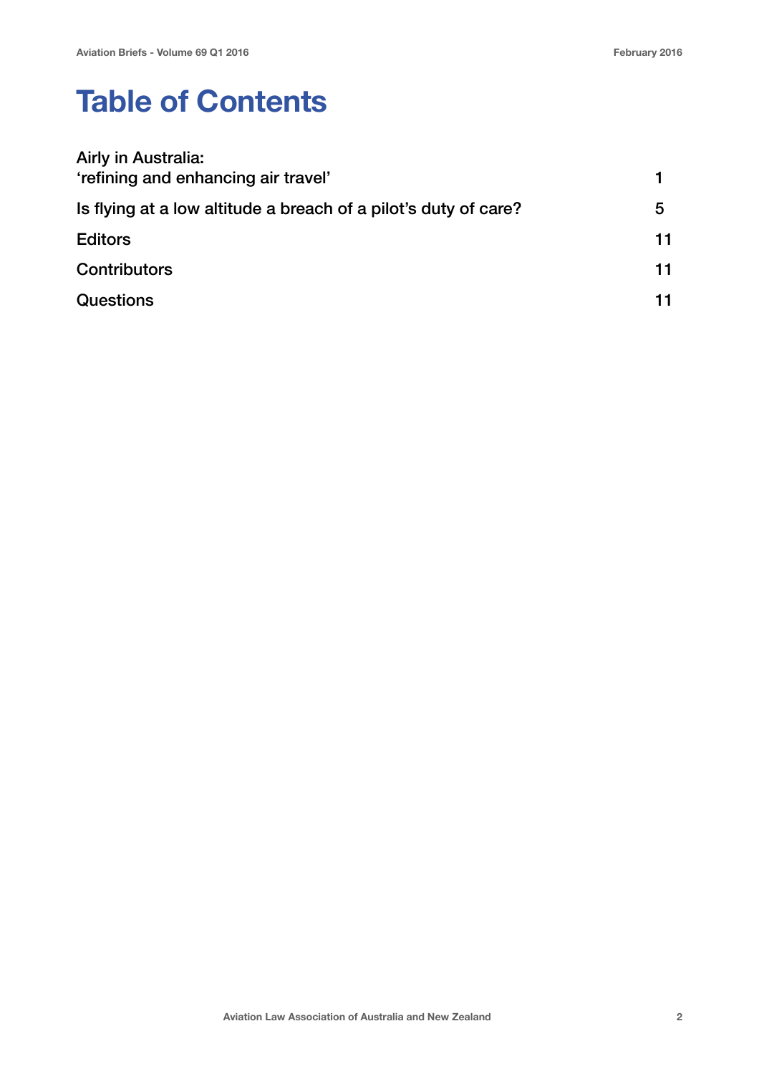## **Table of Contents**

| Airly in Australia:<br>'refining and enhancing air travel'      |    |
|-----------------------------------------------------------------|----|
| Is flying at a low altitude a breach of a pilot's duty of care? | 5  |
| <b>Editors</b>                                                  | 11 |
| <b>Contributors</b>                                             | 11 |
| <b>Questions</b>                                                | 11 |
|                                                                 |    |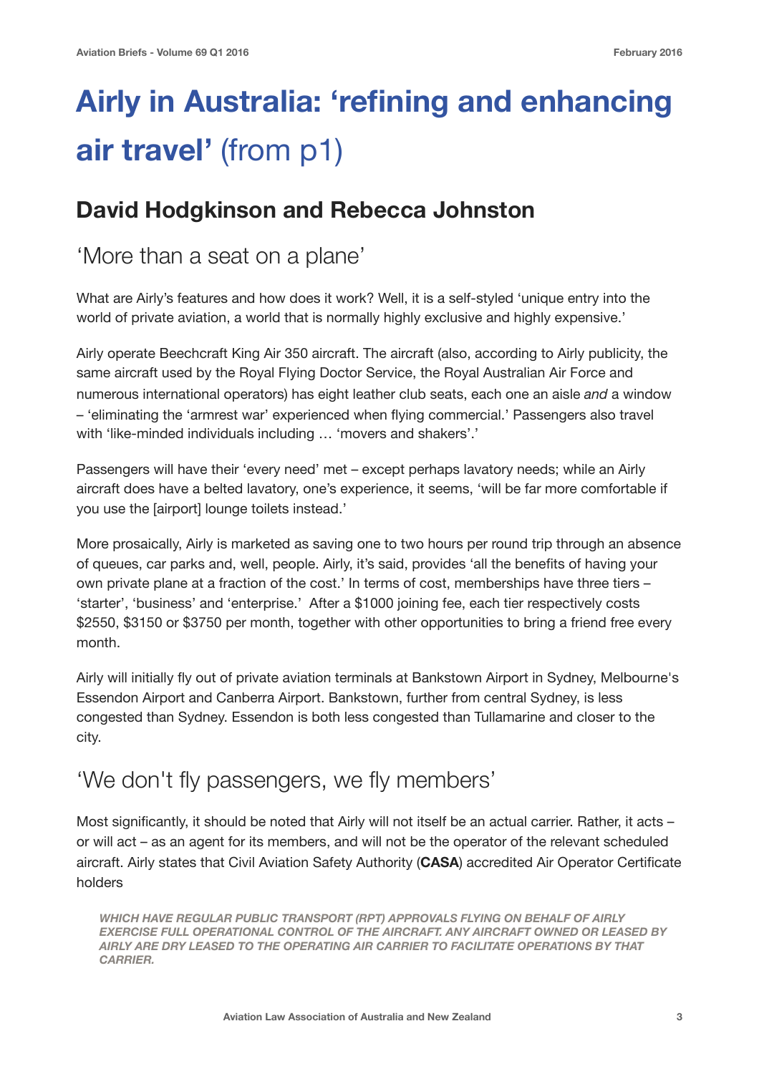# **Airly in Australia: 'refining and enhancing air travel'** (from p1)

#### **David Hodgkinson and Rebecca Johnston**

#### 'More than a seat on a plane'

What are Airly's features and how does it work? Well, it is a self-styled 'unique entry into the world of private aviation, a world that is normally highly exclusive and highly expensive.'

Airly operate Beechcraft King Air 350 aircraft. The aircraft (also, according to Airly publicity, the same aircraft used by the Royal Flying Doctor Service, the Royal Australian Air Force and numerous international operators) has eight leather club seats, each one an aisle *and* a window – 'eliminating the 'armrest war' experienced when flying commercial.' Passengers also travel with 'like-minded individuals including ... 'movers and shakers'.'

Passengers will have their 'every need' met – except perhaps lavatory needs; while an Airly aircraft does have a belted lavatory, one's experience, it seems, 'will be far more comfortable if you use the [airport] lounge toilets instead.'

More prosaically, Airly is marketed as saving one to two hours per round trip through an absence of queues, car parks and, well, people. Airly, it's said, provides 'all the benefits of having your own private plane at a fraction of the cost.' In terms of cost, memberships have three tiers – 'starter', 'business' and 'enterprise.' After a \$1000 joining fee, each tier respectively costs \$2550, \$3150 or \$3750 per month, together with other opportunities to bring a friend free every month.

Airly will initially fly out of private aviation terminals at Bankstown Airport in Sydney, Melbourne's Essendon Airport and Canberra Airport. Bankstown, further from central Sydney, is less congested than Sydney. Essendon is both less congested than Tullamarine and closer to the city.

### 'We don't fly passengers, we fly members'

Most significantly, it should be noted that Airly will not itself be an actual carrier. Rather, it acts – or will act – as an agent for its members, and will not be the operator of the relevant scheduled aircraft. Airly states that Civil Aviation Safety Authority (**CASA**) accredited Air Operator Certificate holders

*WHICH HAVE REGULAR PUBLIC TRANSPORT (RPT) APPROVALS FLYING ON BEHALF OF AIRLY EXERCISE FULL OPERATIONAL CONTROL OF THE AIRCRAFT. ANY AIRCRAFT OWNED OR LEASED BY AIRLY ARE DRY LEASED TO THE OPERATING AIR CARRIER TO FACILITATE OPERATIONS BY THAT CARRIER.*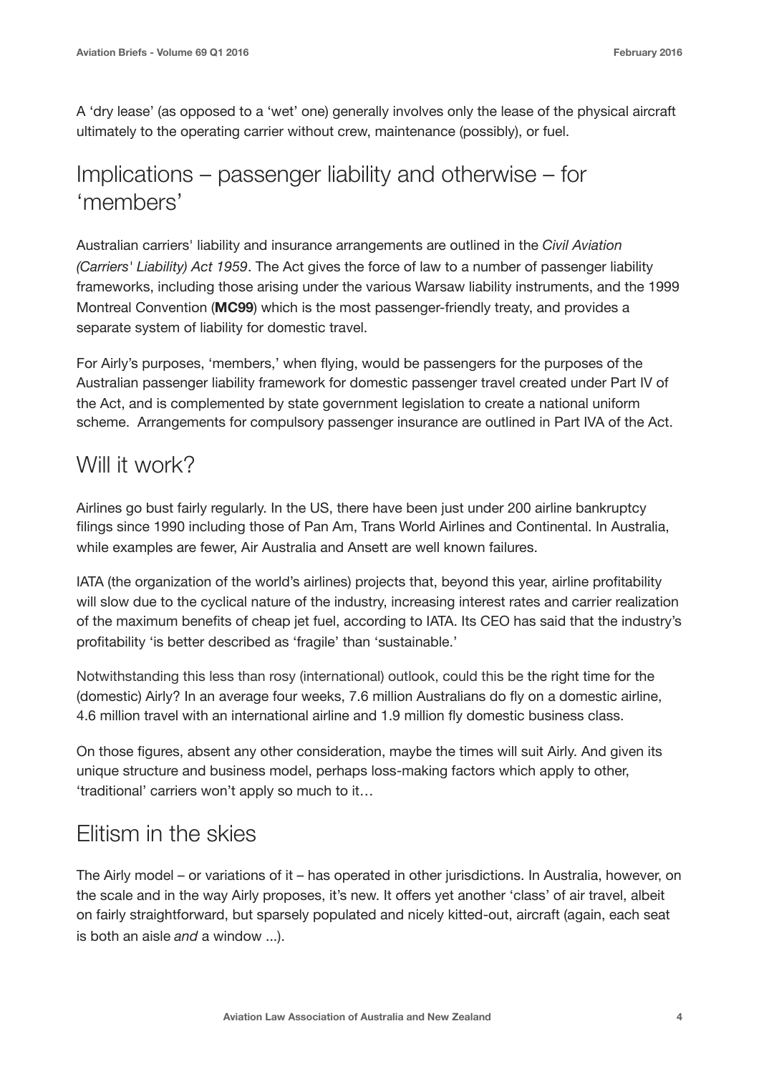A 'dry lease' (as opposed to a 'wet' one) generally involves only the lease of the physical aircraft ultimately to the operating carrier without crew, maintenance (possibly), or fuel.

#### Implications – passenger liability and otherwise – for 'members'

Australian carriers' liability and insurance arrangements are outlined in the *Civil Aviation (Carriers' Liability) Act 1959*. The Act gives the force of law to a number of passenger liability frameworks, including those arising under the various Warsaw liability instruments, and the 1999 Montreal Convention (**MC99**) which is the most passenger-friendly treaty, and provides a separate system of liability for domestic travel.

For Airly's purposes, 'members,' when flying, would be passengers for the purposes of the Australian passenger liability framework for domestic passenger travel created under Part IV of the Act, and is complemented by state government legislation to create a national uniform scheme. Arrangements for compulsory passenger insurance are outlined in Part IVA of the Act.

#### Will it work?

Airlines go bust fairly regularly. In the US, there have been just under 200 airline bankruptcy filings since 1990 including those of Pan Am, Trans World Airlines and Continental. In Australia, while examples are fewer, Air Australia and Ansett are well known failures.

IATA (the organization of the world's airlines) projects that, beyond this year, airline profitability will slow due to the cyclical nature of the industry, increasing interest rates and carrier realization of the maximum benefits of cheap jet fuel, according to IATA. Its CEO has said that the industry's profitability 'is better described as 'fragile' than 'sustainable.'

Notwithstanding this less than rosy (international) outlook, could this be the right time for the (domestic) Airly? In an average four weeks, 7.6 million Australians do fly on a domestic airline, 4.6 million travel with an international airline and 1.9 million fly domestic business class.

On those figures, absent any other consideration, maybe the times will suit Airly. And given its unique structure and business model, perhaps loss-making factors which apply to other, 'traditional' carriers won't apply so much to it…

### Elitism in the skies

The Airly model – or variations of it – has operated in other jurisdictions. In Australia, however, on the scale and in the way Airly proposes, it's new. It offers yet another 'class' of air travel, albeit on fairly straightforward, but sparsely populated and nicely kitted-out, aircraft (again, each seat is both an aisle *and* a window ...).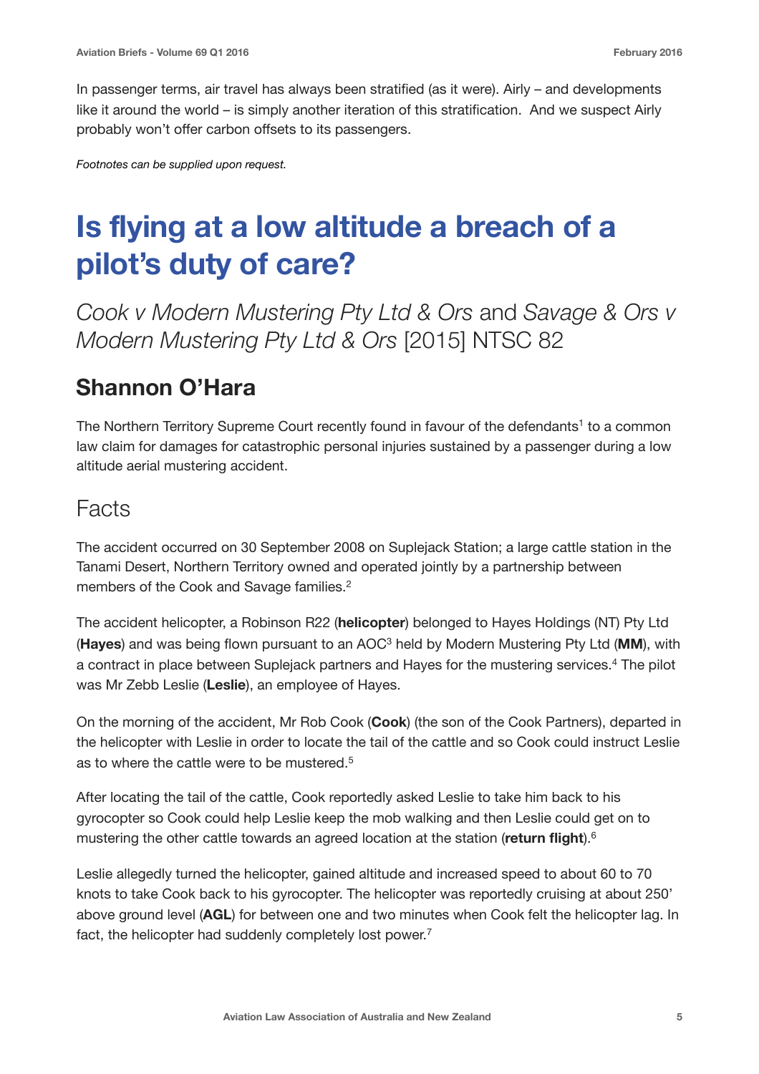In passenger terms, air travel has always been stratified (as it were). Airly – and developments like it around the world – is simply another iteration of this stratification. And we suspect Airly probably won't offer carbon offsets to its passengers.

*Footnotes can be supplied upon request.* 

## **Is flying at a low altitude a breach of a pilot's duty of care?**

*Cook v Modern Mustering Pty Ltd & Ors* and *Savage & Ors v Modern Mustering Pty Ltd & Ors* [2015] NTSC 82

#### **Shannon O'Hara**

The Northern Territory Supreme Court recently found in favour of the defendants<sup>1</sup> to a common law claim for damages for catastrophic personal injuries sustained by a passenger during a low altitude aerial mustering accident.

#### Facts

The accident occurred on 30 September 2008 on Suplejack Station; a large cattle station in the Tanami Desert, Northern Territory owned and operated jointly by a partnership between members of the Cook and Savage families.<sup>2</sup>

The accident helicopter, a Robinson R22 (**helicopter**) belonged to Hayes Holdings (NT) Pty Ltd (**Hayes**) and was being flown pursuant to an AOC3 held by Modern Mustering Pty Ltd (**MM**), with a contract in place between Suplejack partners and Hayes for the mustering services.<sup>4</sup> The pilot was Mr Zebb Leslie (**Leslie**), an employee of Hayes.

On the morning of the accident, Mr Rob Cook (**Cook**) (the son of the Cook Partners), departed in the helicopter with Leslie in order to locate the tail of the cattle and so Cook could instruct Leslie as to where the cattle were to be mustered.<sup>5</sup>

After locating the tail of the cattle, Cook reportedly asked Leslie to take him back to his gyrocopter so Cook could help Leslie keep the mob walking and then Leslie could get on to mustering the other cattle towards an agreed location at the station (**return flight**).6

Leslie allegedly turned the helicopter, gained altitude and increased speed to about 60 to 70 knots to take Cook back to his gyrocopter. The helicopter was reportedly cruising at about 250' above ground level (**AGL**) for between one and two minutes when Cook felt the helicopter lag. In fact, the helicopter had suddenly completely lost power.<sup>7</sup>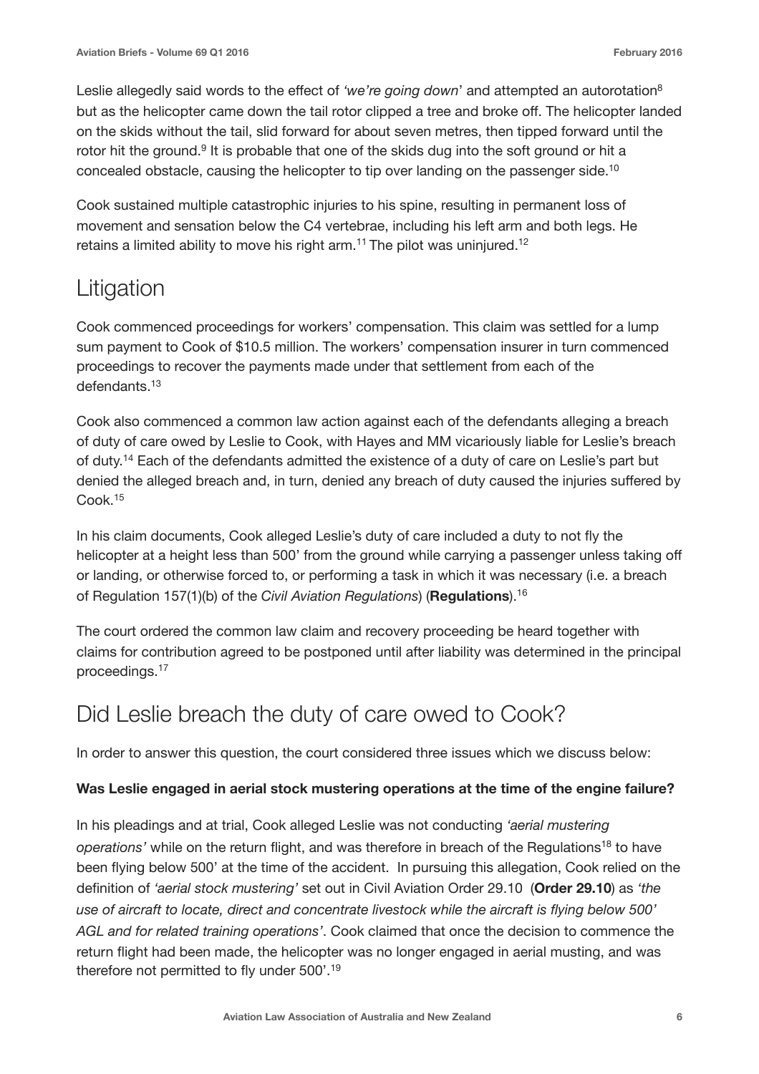Leslie allegedly said words to the effect of 'we're going down' and attempted an autorotation<sup>8</sup> but as the helicopter came down the tail rotor clipped a tree and broke off. The helicopter landed on the skids without the tail, slid forward for about seven metres, then tipped forward until the rotor hit the ground.<sup>9</sup> It is probable that one of the skids dug into the soft ground or hit a concealed obstacle, causing the helicopter to tip over landing on the passenger side.10

Cook sustained multiple catastrophic injuries to his spine, resulting in permanent loss of movement and sensation below the C4 vertebrae, including his left arm and both legs. He retains a limited ability to move his right arm.<sup>11</sup> The pilot was uninjured.<sup>12</sup>

### Litigation

Cook commenced proceedings for workers' compensation. This claim was settled for a lump sum payment to Cook of \$10.5 million. The workers' compensation insurer in turn commenced proceedings to recover the payments made under that settlement from each of the defendants.<sup>13</sup>

Cook also commenced a common law action against each of the defendants alleging a breach of duty of care owed by Leslie to Cook, with Hayes and MM vicariously liable for Leslie's breach of duty.14 Each of the defendants admitted the existence of a duty of care on Leslie's part but denied the alleged breach and, in turn, denied any breach of duty caused the injuries suffered by Cook.15

In his claim documents, Cook alleged Leslie's duty of care included a duty to not fly the helicopter at a height less than 500' from the ground while carrying a passenger unless taking off or landing, or otherwise forced to, or performing a task in which it was necessary (i.e. a breach of Regulation 157(1)(b) of the *Civil Aviation Regulations*) (**Regulations**).16

The court ordered the common law claim and recovery proceeding be heard together with claims for contribution agreed to be postponed until after liability was determined in the principal proceedings.17

### Did Leslie breach the duty of care owed to Cook?

In order to answer this question, the court considered three issues which we discuss below:

#### **Was Leslie engaged in aerial stock mustering operations at the time of the engine failure?**

In his pleadings and at trial, Cook alleged Leslie was not conducting *'aerial mustering operations'* while on the return flight, and was therefore in breach of the Regulations<sup>18</sup> to have been flying below 500' at the time of the accident. In pursuing this allegation, Cook relied on the definition of *'aerial stock mustering'* set out in Civil Aviation Order 29.10 (**Order 29.10**) as *'the use of aircraft to locate, direct and concentrate livestock while the aircraft is flying below 500' AGL and for related training operations'*. Cook claimed that once the decision to commence the return flight had been made, the helicopter was no longer engaged in aerial musting, and was therefore not permitted to fly under 500'.19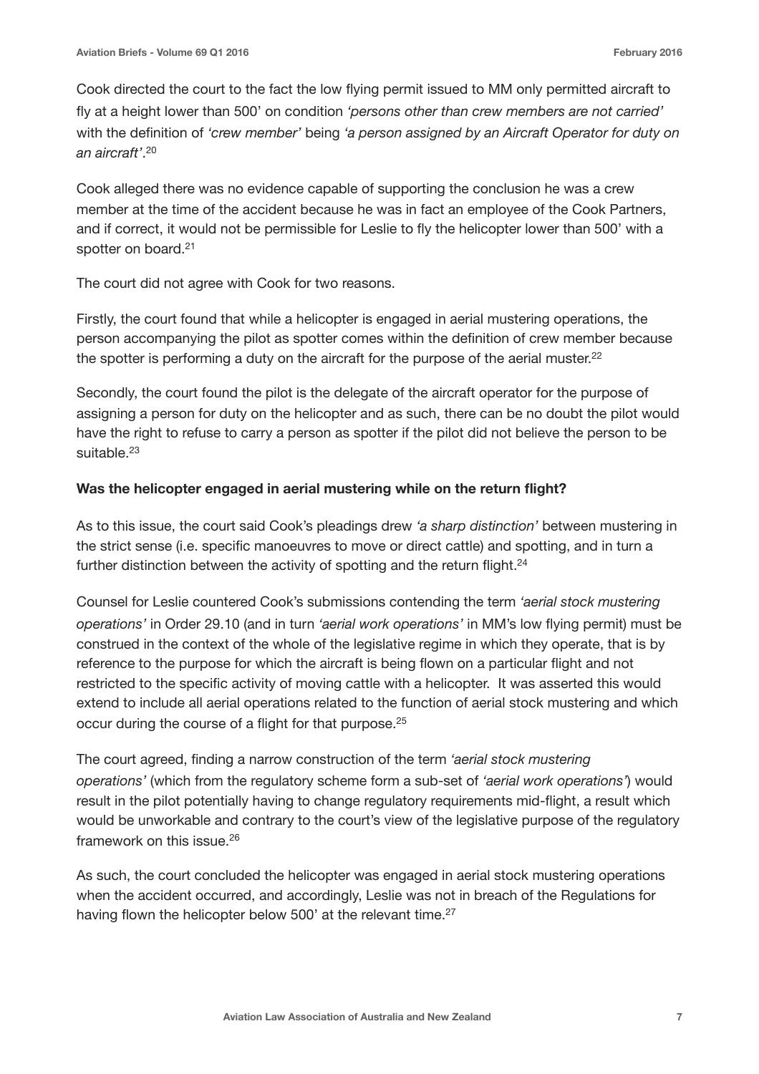Cook directed the court to the fact the low flying permit issued to MM only permitted aircraft to fly at a height lower than 500' on condition *'persons other than crew members are not carried'* with the definition of *'crew member'* being *'a person assigned by an Aircraft Operator for duty on an aircraft'*. 20

Cook alleged there was no evidence capable of supporting the conclusion he was a crew member at the time of the accident because he was in fact an employee of the Cook Partners, and if correct, it would not be permissible for Leslie to fly the helicopter lower than 500' with a spotter on board.<sup>21</sup>

The court did not agree with Cook for two reasons.

Firstly, the court found that while a helicopter is engaged in aerial mustering operations, the person accompanying the pilot as spotter comes within the definition of crew member because the spotter is performing a duty on the aircraft for the purpose of the aerial muster. $22$ 

Secondly, the court found the pilot is the delegate of the aircraft operator for the purpose of assigning a person for duty on the helicopter and as such, there can be no doubt the pilot would have the right to refuse to carry a person as spotter if the pilot did not believe the person to be suitable.<sup>23</sup>

#### **Was the helicopter engaged in aerial mustering while on the return flight?**

As to this issue, the court said Cook's pleadings drew *'a sharp distinction'* between mustering in the strict sense (i.e. specific manoeuvres to move or direct cattle) and spotting, and in turn a further distinction between the activity of spotting and the return flight.<sup>24</sup>

Counsel for Leslie countered Cook's submissions contending the term *'aerial stock mustering operations'* in Order 29.10 (and in turn *'aerial work operations'* in MM's low flying permit) must be construed in the context of the whole of the legislative regime in which they operate, that is by reference to the purpose for which the aircraft is being flown on a particular flight and not restricted to the specific activity of moving cattle with a helicopter. It was asserted this would extend to include all aerial operations related to the function of aerial stock mustering and which occur during the course of a flight for that purpose.25

The court agreed, finding a narrow construction of the term *'aerial stock mustering operations'* (which from the regulatory scheme form a sub-set of *'aerial work operations'*) would result in the pilot potentially having to change regulatory requirements mid-flight, a result which would be unworkable and contrary to the court's view of the legislative purpose of the regulatory framework on this issue.26

As such, the court concluded the helicopter was engaged in aerial stock mustering operations when the accident occurred, and accordingly, Leslie was not in breach of the Regulations for having flown the helicopter below 500' at the relevant time.<sup>27</sup>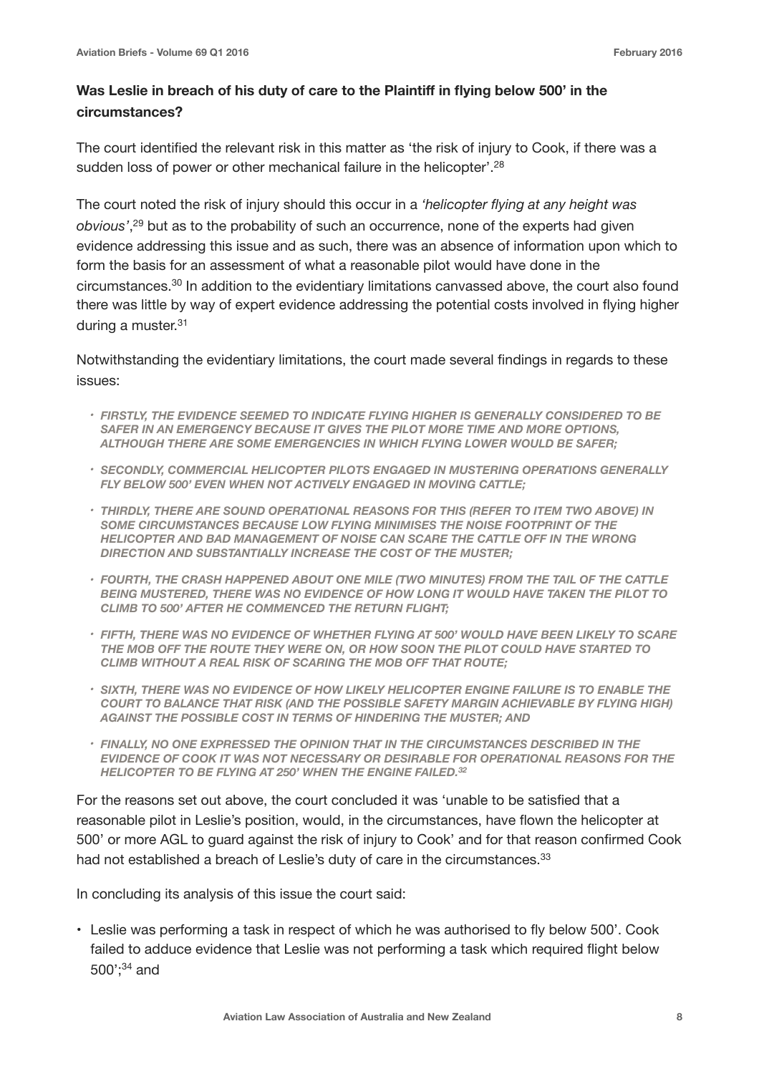#### Was Leslie in breach of his duty of care to the Plaintiff in flying below 500' in the **circumstances?**

The court identified the relevant risk in this matter as 'the risk of injury to Cook, if there was a sudden loss of power or other mechanical failure in the helicopter'.<sup>28</sup>

The court noted the risk of injury should this occur in a *'helicopter flying at any height was obvious'*, 29 but as to the probability of such an occurrence, none of the experts had given evidence addressing this issue and as such, there was an absence of information upon which to form the basis for an assessment of what a reasonable pilot would have done in the circumstances.30 In addition to the evidentiary limitations canvassed above, the court also found there was little by way of expert evidence addressing the potential costs involved in flying higher during a muster.<sup>31</sup>

Notwithstanding the evidentiary limitations, the court made several findings in regards to these issues:

- *• FIRSTLY, THE EVIDENCE SEEMED TO INDICATE FLYING HIGHER IS GENERALLY CONSIDERED TO BE*  SAFER IN AN EMERGENCY BECAUSE IT GIVES THE PILOT MORE TIME AND MORE OPTIONS. *ALTHOUGH THERE ARE SOME EMERGENCIES IN WHICH FLYING LOWER WOULD BE SAFER;*
- *• SECONDLY, COMMERCIAL HELICOPTER PILOTS ENGAGED IN MUSTERING OPERATIONS GENERALLY FLY BELOW 500' EVEN WHEN NOT ACTIVELY ENGAGED IN MOVING CATTLE;*
- *• THIRDLY, THERE ARE SOUND OPERATIONAL REASONS FOR THIS (REFER TO ITEM TWO ABOVE) IN SOME CIRCUMSTANCES BECAUSE LOW FLYING MINIMISES THE NOISE FOOTPRINT OF THE HELICOPTER AND BAD MANAGEMENT OF NOISE CAN SCARE THE CATTLE OFF IN THE WRONG DIRECTION AND SUBSTANTIALLY INCREASE THE COST OF THE MUSTER;*
- *• FOURTH, THE CRASH HAPPENED ABOUT ONE MILE (TWO MINUTES) FROM THE TAIL OF THE CATTLE BEING MUSTERED, THERE WAS NO EVIDENCE OF HOW LONG IT WOULD HAVE TAKEN THE PILOT TO CLIMB TO 500' AFTER HE COMMENCED THE RETURN FLIGHT;*
- *• FIFTH, THERE WAS NO EVIDENCE OF WHETHER FLYING AT 500' WOULD HAVE BEEN LIKELY TO SCARE THE MOB OFF THE ROUTE THEY WERE ON, OR HOW SOON THE PILOT COULD HAVE STARTED TO CLIMB WITHOUT A REAL RISK OF SCARING THE MOB OFF THAT ROUTE;*
- *• SIXTH, THERE WAS NO EVIDENCE OF HOW LIKELY HELICOPTER ENGINE FAILURE IS TO ENABLE THE COURT TO BALANCE THAT RISK (AND THE POSSIBLE SAFETY MARGIN ACHIEVABLE BY FLYING HIGH) AGAINST THE POSSIBLE COST IN TERMS OF HINDERING THE MUSTER; AND*
- *• FINALLY, NO ONE EXPRESSED THE OPINION THAT IN THE CIRCUMSTANCES DESCRIBED IN THE EVIDENCE OF COOK IT WAS NOT NECESSARY OR DESIRABLE FOR OPERATIONAL REASONS FOR THE HELICOPTER TO BE FLYING AT 250' WHEN THE ENGINE FAILED.32*

For the reasons set out above, the court concluded it was 'unable to be satisfied that a reasonable pilot in Leslie's position, would, in the circumstances, have flown the helicopter at 500' or more AGL to guard against the risk of injury to Cook' and for that reason confirmed Cook had not established a breach of Leslie's duty of care in the circumstances.<sup>33</sup>

In concluding its analysis of this issue the court said:

• Leslie was performing a task in respect of which he was authorised to fly below 500'. Cook failed to adduce evidence that Leslie was not performing a task which required flight below 500';34 and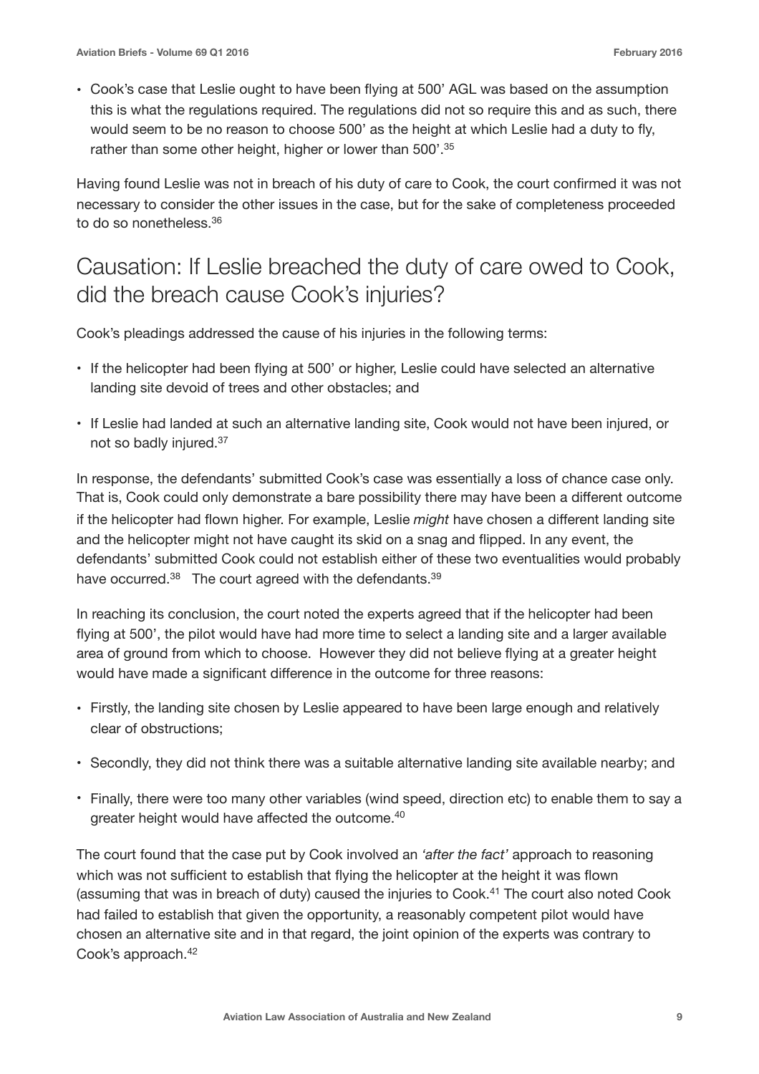• Cook's case that Leslie ought to have been flying at 500' AGL was based on the assumption this is what the regulations required. The regulations did not so require this and as such, there would seem to be no reason to choose 500' as the height at which Leslie had a duty to fly, rather than some other height, higher or lower than 500'.<sup>35</sup>

Having found Leslie was not in breach of his duty of care to Cook, the court confirmed it was not necessary to consider the other issues in the case, but for the sake of completeness proceeded to do so nonetheless.36

#### Causation: If Leslie breached the duty of care owed to Cook, did the breach cause Cook's injuries?

Cook's pleadings addressed the cause of his injuries in the following terms:

- If the helicopter had been flying at 500' or higher, Leslie could have selected an alternative landing site devoid of trees and other obstacles; and
- If Leslie had landed at such an alternative landing site, Cook would not have been injured, or not so badly injured.37

In response, the defendants' submitted Cook's case was essentially a loss of chance case only. That is, Cook could only demonstrate a bare possibility there may have been a different outcome if the helicopter had flown higher. For example, Leslie *might* have chosen a different landing site and the helicopter might not have caught its skid on a snag and flipped. In any event, the defendants' submitted Cook could not establish either of these two eventualities would probably have occurred.<sup>38</sup> The court agreed with the defendants.<sup>39</sup>

In reaching its conclusion, the court noted the experts agreed that if the helicopter had been flying at 500', the pilot would have had more time to select a landing site and a larger available area of ground from which to choose. However they did not believe flying at a greater height would have made a significant difference in the outcome for three reasons:

- Firstly, the landing site chosen by Leslie appeared to have been large enough and relatively clear of obstructions;
- Secondly, they did not think there was a suitable alternative landing site available nearby; and
- Finally, there were too many other variables (wind speed, direction etc) to enable them to say a greater height would have affected the outcome.<sup>40</sup>

The court found that the case put by Cook involved an *'after the fact'* approach to reasoning which was not sufficient to establish that flying the helicopter at the height it was flown (assuming that was in breach of duty) caused the injuries to Cook.41 The court also noted Cook had failed to establish that given the opportunity, a reasonably competent pilot would have chosen an alternative site and in that regard, the joint opinion of the experts was contrary to Cook's approach.42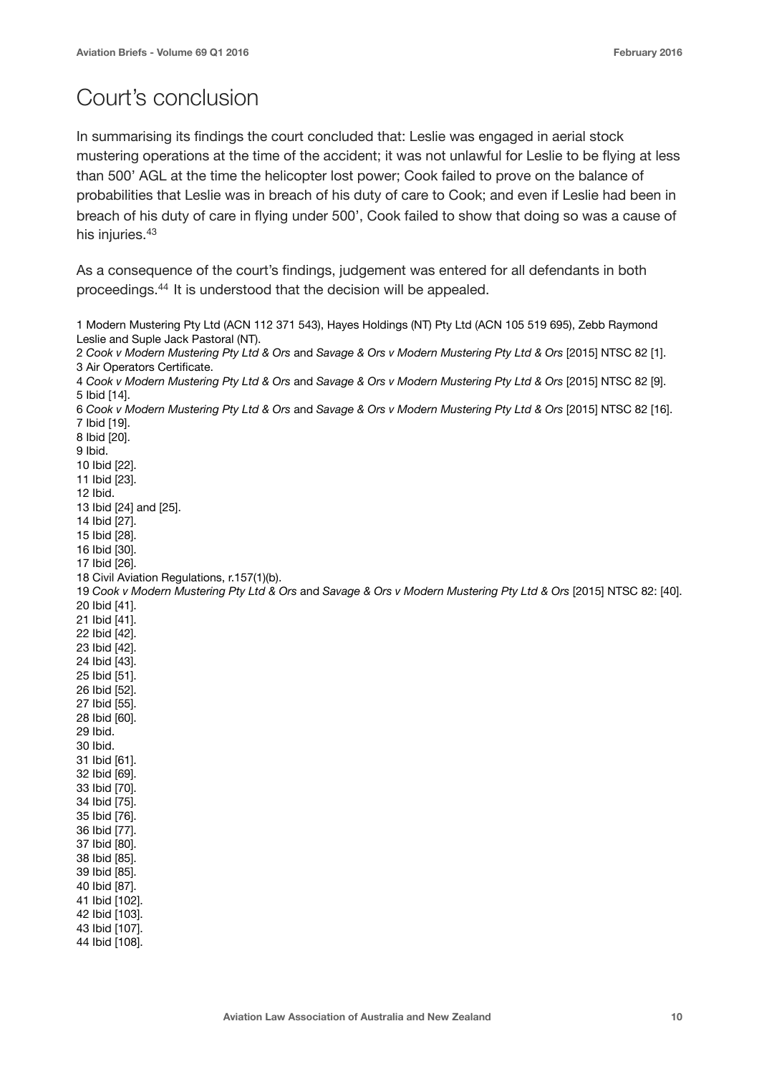### Court's conclusion

In summarising its findings the court concluded that: Leslie was engaged in aerial stock mustering operations at the time of the accident; it was not unlawful for Leslie to be flying at less than 500' AGL at the time the helicopter lost power; Cook failed to prove on the balance of probabilities that Leslie was in breach of his duty of care to Cook; and even if Leslie had been in breach of his duty of care in flying under 500', Cook failed to show that doing so was a cause of his injuries.<sup>43</sup>

As a consequence of the court's findings, judgement was entered for all defendants in both proceedings.44 It is understood that the decision will be appealed.

```
1 Modern Mustering Pty Ltd (ACN 112 371 543), Hayes Holdings (NT) Pty Ltd (ACN 105 519 695), Zebb Raymond 
Leslie and Suple Jack Pastoral (NT).
2 Cook v Modern Mustering Pty Ltd & Ors and Savage & Ors v Modern Mustering Pty Ltd & Ors [2015] NTSC 82 [1].
3 Air Operators Certificate.
4 Cook v Modern Mustering Pty Ltd & Ors and Savage & Ors v Modern Mustering Pty Ltd & Ors [2015] NTSC 82 [9].
5 Ibid [14].
6 Cook v Modern Mustering Pty Ltd & Ors and Savage & Ors v Modern Mustering Pty Ltd & Ors [2015] NTSC 82 [16].
7 Ibid [19].
8 Ibid [20].
9 Ibid. 
10 Ibid [22].
11 Ibid [23].
12 Ibid. 
13 Ibid [24] and [25].
14 Ibid [27].
15 Ibid [28].
16 Ibid [30].
17 Ibid [26].
18 Civil Aviation Regulations, r.157(1)(b).
19 Cook v Modern Mustering Pty Ltd & Ors and Savage & Ors v Modern Mustering Pty Ltd & Ors [2015] NTSC 82: [40].
20 Ibid [41].
21 Ibid [41].
22 Ibid [42].
23 Ibid [42].
24 Ibid [43].
25 Ibid [51].
26 Ibid [52].
27 Ibid [55].
28 Ibid [60].
29 Ibid.
30 Ibid. 
31 Ibid [61].
32 Ibid [69].
33 Ibid [70].
34 Ibid [75].
35 Ibid [76].
36 Ibid [77].
37 Ibid [80].
38 Ibid [85].
39 Ibid [85].
40 Ibid [87].
41 Ibid [102].
42 Ibid [103].
43 Ibid [107].
44 Ibid [108].
```